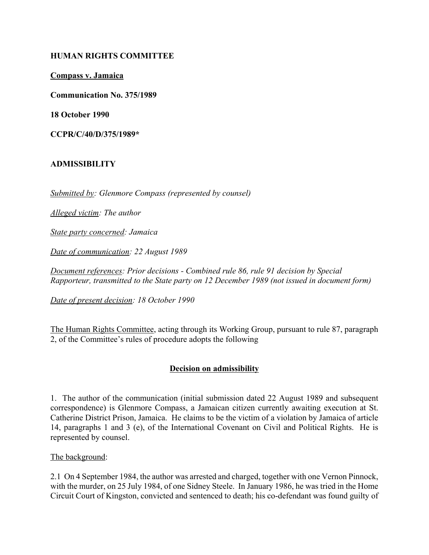# **HUMAN RIGHTS COMMITTEE**

**Compass v. Jamaica**

**Communication No. 375/1989**

**18 October 1990**

**CCPR/C/40/D/375/1989\***

## **ADMISSIBILITY**

*Submitted by: Glenmore Compass (represented by counsel)*

*Alleged victim: The author*

*State party concerned: Jamaica*

*Date of communication: 22 August 1989*

*Document references: Prior decisions - Combined rule 86, rule 91 decision by Special Rapporteur, transmitted to the State party on 12 December 1989 (not issued in document form)*

*Date of present decision: 18 October 1990*

The Human Rights Committee, acting through its Working Group, pursuant to rule 87, paragraph 2, of the Committee's rules of procedure adopts the following

# **Decision on admissibility**

1. The author of the communication (initial submission dated 22 August 1989 and subsequent correspondence) is Glenmore Compass, a Jamaican citizen currently awaiting execution at St. Catherine District Prison, Jamaica. He claims to be the victim of a violation by Jamaica of article 14, paragraphs 1 and 3 (e), of the International Covenant on Civil and Political Rights. He is represented by counsel.

#### The background:

2.1 On 4 September 1984, the author was arrested and charged, together with one Vernon Pinnock, with the murder, on 25 July 1984, of one Sidney Steele. In January 1986, he was tried in the Home Circuit Court of Kingston, convicted and sentenced to death; his co-defendant was found guilty of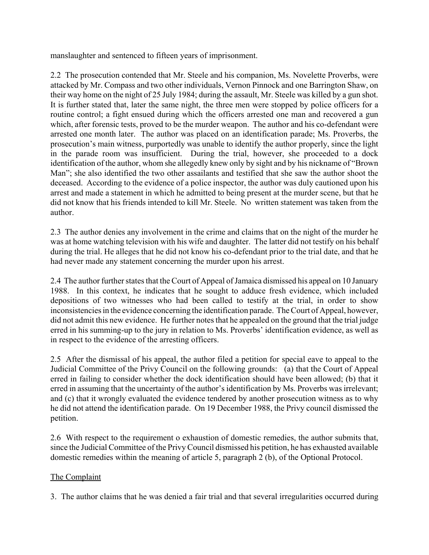manslaughter and sentenced to fifteen years of imprisonment.

2.2 The prosecution contended that Mr. Steele and his companion, Ms. Novelette Proverbs, were attacked by Mr. Compass and two other individuals, Vernon Pinnock and one Barrington Shaw, on their way home on the night of 25 July 1984; during the assault, Mr. Steele was killed by a gun shot. It is further stated that, later the same night, the three men were stopped by police officers for a routine control; a fight ensued during which the officers arrested one man and recovered a gun which, after forensic tests, proved to be the murder weapon. The author and his co-defendant were arrested one month later. The author was placed on an identification parade; Ms. Proverbs, the prosecution's main witness, purportedly was unable to identify the author properly, since the light in the parade room was insufficient. During the trial, however, she proceeded to a dock identification of the author, whom she allegedly knew only by sight and by his nickname of "Brown" Man"; she also identified the two other assailants and testified that she saw the author shoot the deceased. According to the evidence of a police inspector, the author was duly cautioned upon his arrest and made a statement in which he admitted to being present at the murder scene, but that he did not know that his friends intended to kill Mr. Steele. No written statement was taken from the author.

2.3 The author denies any involvement in the crime and claims that on the night of the murder he was at home watching television with his wife and daughter. The latter did not testify on his behalf during the trial. He alleges that he did not know his co-defendant prior to the trial date, and that he had never made any statement concerning the murder upon his arrest.

2.4 The author further states that the Court of Appeal of Jamaica dismissed his appeal on 10 January 1988. In this context, he indicates that he sought to adduce fresh evidence, which included depositions of two witnesses who had been called to testify at the trial, in order to show inconsistencies in the evidence concerning the identification parade. The Court of Appeal, however, did not admit this new evidence. He further notes that he appealed on the ground that the trial judge erred in his summing-up to the jury in relation to Ms. Proverbs' identification evidence, as well as in respect to the evidence of the arresting officers.

2.5 After the dismissal of his appeal, the author filed a petition for special eave to appeal to the Judicial Committee of the Privy Council on the following grounds: (a) that the Court of Appeal erred in failing to consider whether the dock identification should have been allowed; (b) that it erred in assuming that the uncertainty of the author's identification by Ms. Proverbs was irrelevant; and (c) that it wrongly evaluated the evidence tendered by another prosecution witness as to why he did not attend the identification parade. On 19 December 1988, the Privy council dismissed the petition.

2.6 With respect to the requirement o exhaustion of domestic remedies, the author submits that, since the Judicial Committee of the Privy Council dismissed his petition, he has exhausted available domestic remedies within the meaning of article 5, paragraph 2 (b), of the Optional Protocol.

# The Complaint

3. The author claims that he was denied a fair trial and that several irregularities occurred during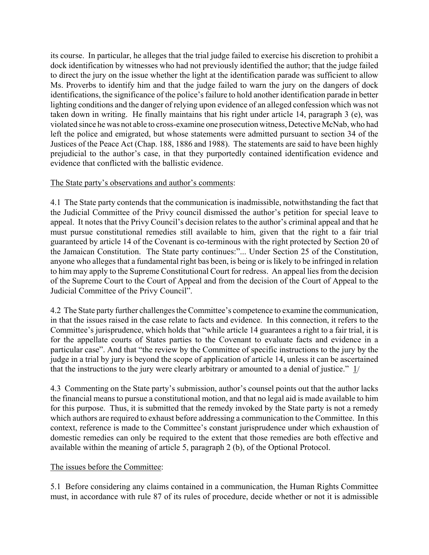its course. In particular, he alleges that the trial judge failed to exercise his discretion to prohibit a dock identification by witnesses who had not previously identified the author; that the judge failed to direct the jury on the issue whether the light at the identification parade was sufficient to allow Ms. Proverbs to identify him and that the judge failed to warn the jury on the dangers of dock identifications, the significance of the police's failure to hold another identification parade in better lighting conditions and the danger of relying upon evidence of an alleged confession which was not taken down in writing. He finally maintains that his right under article 14, paragraph 3 (e), was violated since he was not able to cross-examine one prosecution witness, Detective McNab, who had left the police and emigrated, but whose statements were admitted pursuant to section 34 of the Justices of the Peace Act (Chap. 188, 1886 and 1988). The statements are said to have been highly prejudicial to the author's case, in that they purportedly contained identification evidence and evidence that conflicted with the ballistic evidence.

## The State party's observations and author's comments:

4.1 The State party contends that the communication is inadmissible, notwithstanding the fact that the Judicial Committee of the Privy council dismissed the author's petition for special leave to appeal. It notes that the Privy Council's decision relates to the author's criminal appeal and that he must pursue constitutional remedies still available to him, given that the right to a fair trial guaranteed by article 14 of the Covenant is co-terminous with the right protected by Section 20 of the Jamaican Constitution. The State party continues:"... Under Section 25 of the Constitution, anyone who alleges that a fundamental right bas been, is being or is likely to be infringed in relation to him may apply to the Supreme Constitutional Court for redress. An appeal lies from the decision of the Supreme Court to the Court of Appeal and from the decision of the Court of Appeal to the Judicial Committee of the Privy Council".

4.2 The State party further challenges the Committeeís competence to examine the communication, in that the issues raised in the case relate to facts and evidence. In this connection, it refers to the Committee's jurisprudence, which holds that "while article 14 guarantees a right to a fair trial, it is for the appellate courts of States parties to the Covenant to evaluate facts and evidence in a particular case". And that "the review by the Committee of specific instructions to the jury by the judge in a trial by jury is beyond the scope of application of article 14, unless it can be ascertained that the instructions to the jury were clearly arbitrary or amounted to a denial of justice."  $\frac{1}{i}$ 

4.3 Commenting on the State party's submission, author's counsel points out that the author lacks the financial means to pursue a constitutional motion, and that no legal aid is made available to him for this purpose. Thus, it is submitted that the remedy invoked by the State party is not a remedy which authors are required to exhaust before addressing a communication to the Committee. In this context, reference is made to the Committee's constant jurisprudence under which exhaustion of domestic remedies can only be required to the extent that those remedies are both effective and available within the meaning of article 5, paragraph 2 (b), of the Optional Protocol.

#### The issues before the Committee:

5.1 Before considering any claims contained in a communication, the Human Rights Committee must, in accordance with rule 87 of its rules of procedure, decide whether or not it is admissible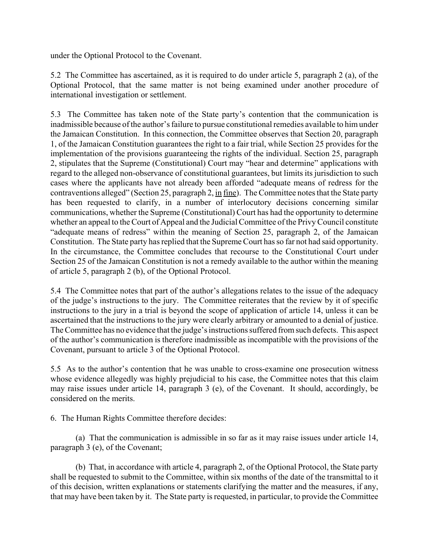under the Optional Protocol to the Covenant.

5.2 The Committee has ascertained, as it is required to do under article 5, paragraph 2 (a), of the Optional Protocol, that the same matter is not being examined under another procedure of international investigation or settlement.

5.3 The Committee has taken note of the State party's contention that the communication is inadmissible because of the author's failure to pursue constitutional remedies available to him under the Jamaican Constitution. In this connection, the Committee observes that Section 20, paragraph 1, of the Jamaican Constitution guarantees the right to a fair trial, while Section 25 provides for the implementation of the provisions guaranteeing the rights of the individual. Section 25, paragraph 2, stipulates that the Supreme (Constitutional) Court may "hear and determine" applications with regard to the alleged non-observance of constitutional guarantees, but limits its jurisdiction to such cases where the applicants have not already been afforded "adequate means of redress for the contraventions alleged" (Section 25, paragraph 2,  $\underline{\text{in}}$  fine). The Committee notes that the State party has been requested to clarify, in a number of interlocutory decisions concerning similar communications, whether the Supreme (Constitutional) Court has had the opportunity to determine whether an appeal to the Court of Appeal and the Judicial Committee of the Privy Council constitute "adequate means of redress" within the meaning of Section 25, paragraph 2, of the Jamaican Constitution. The State party has replied that the Supreme Court has so far not had said opportunity. In the circumstance, the Committee concludes that recourse to the Constitutional Court under Section 25 of the Jamaican Constitution is not a remedy available to the author within the meaning of article 5, paragraph 2 (b), of the Optional Protocol.

5.4 The Committee notes that part of the author's allegations relates to the issue of the adequacy of the judge's instructions to the jury. The Committee reiterates that the review by it of specific instructions to the jury in a trial is beyond the scope of application of article 14, unless it can be ascertained that the instructions to the jury were clearly arbitrary or amounted to a denial of justice. The Committee has no evidence that the judge's instructions suffered from such defects. This aspect of the author's communication is therefore inadmissible as incompatible with the provisions of the Covenant, pursuant to article 3 of the Optional Protocol.

5.5 As to the author's contention that he was unable to cross-examine one prosecution witness whose evidence allegedly was highly prejudicial to his case, the Committee notes that this claim may raise issues under article 14, paragraph 3 (e), of the Covenant. It should, accordingly, be considered on the merits.

6. The Human Rights Committee therefore decides:

(a) That the communication is admissible in so far as it may raise issues under article 14, paragraph 3 (e), of the Covenant;

(b) That, in accordance with article 4, paragraph 2, of the Optional Protocol, the State party shall be requested to submit to the Committee, within six months of the date of the transmittal to it of this decision, written explanations or statements clarifying the matter and the measures, if any, that may have been taken by it. The State party is requested, in particular, to provide the Committee